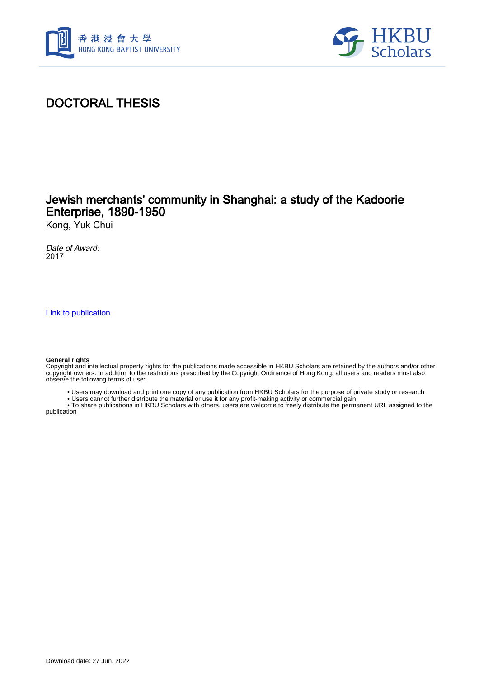



# DOCTORAL THESIS

## Jewish merchants' community in Shanghai: a study of the Kadoorie Enterprise, 1890-1950

Kong, Yuk Chui

Date of Award: 2017

[Link to publication](https://scholars.hkbu.edu.hk/en/studentTheses/9a396390-669e-4255-98b3-827f29cfc140)

#### **General rights**

Copyright and intellectual property rights for the publications made accessible in HKBU Scholars are retained by the authors and/or other copyright owners. In addition to the restrictions prescribed by the Copyright Ordinance of Hong Kong, all users and readers must also observe the following terms of use:

- Users may download and print one copy of any publication from HKBU Scholars for the purpose of private study or research
- Users cannot further distribute the material or use it for any profit-making activity or commercial gain

 • To share publications in HKBU Scholars with others, users are welcome to freely distribute the permanent URL assigned to the publication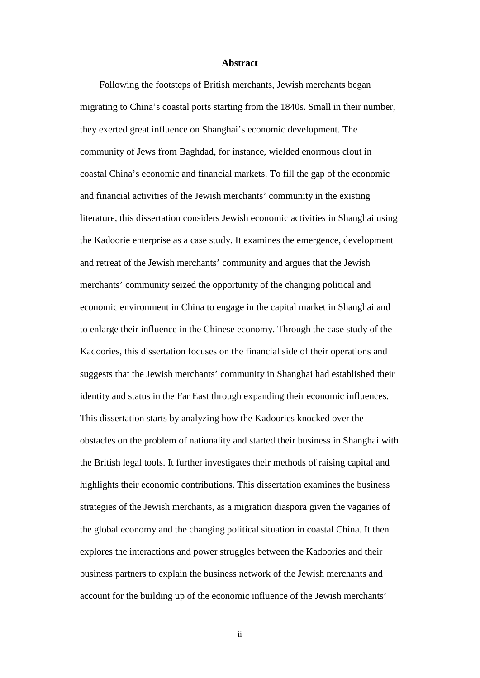### **Abstract**

Following the footsteps of British merchants, Jewish merchants began migrating to China's coastal ports starting from the 1840s. Small in their number, they exerted great influence on Shanghai's economic development. The community of Jews from Baghdad, for instance, wielded enormous clout in coastal China's economic and financial markets. To fill the gap of the economic and financial activities of the Jewish merchants' community in the existing literature, this dissertation considers Jewish economic activities in Shanghai using the Kadoorie enterprise as a case study. It examines the emergence, development and retreat of the Jewish merchants' community and argues that the Jewish merchants' community seized the opportunity of the changing political and economic environment in China to engage in the capital market in Shanghai and to enlarge their influence in the Chinese economy. Through the case study of the Kadoories, this dissertation focuses on the financial side of their operations and suggests that the Jewish merchants' community in Shanghai had established their identity and status in the Far East through expanding their economic influences. This dissertation starts by analyzing how the Kadoories knocked over the obstacles on the problem of nationality and started their business in Shanghai with the British legal tools. It further investigates their methods of raising capital and highlights their economic contributions. This dissertation examines the business strategies of the Jewish merchants, as a migration diaspora given the vagaries of the global economy and the changing political situation in coastal China. It then explores the interactions and power struggles between the Kadoories and their business partners to explain the business network of the Jewish merchants and account for the building up of the economic influence of the Jewish merchants'

ii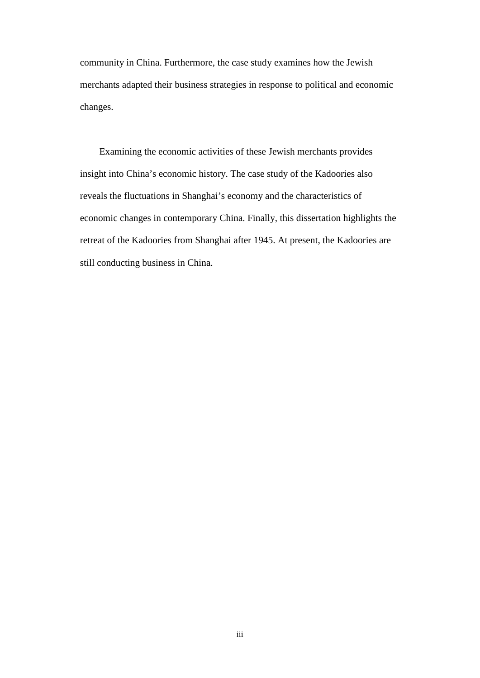community in China. Furthermore, the case study examines how the Jewish merchants adapted their business strategies in response to political and economic changes.

Examining the economic activities of these Jewish merchants provides insight into China's economic history. The case study of the Kadoories also reveals the fluctuations in Shanghai's economy and the characteristics of economic changes in contemporary China. Finally, this dissertation highlights the retreat of the Kadoories from Shanghai after 1945. At present, the Kadoories are still conducting business in China.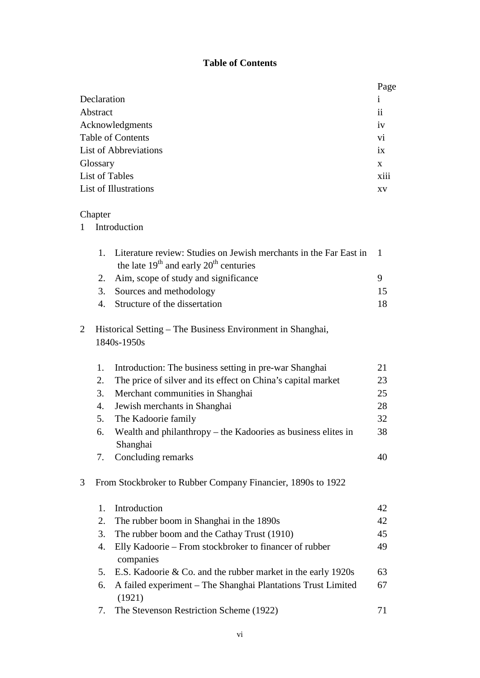## **Table of Contents**

|                              |                                                                           |                                                                                                                 | Page |  |  |
|------------------------------|---------------------------------------------------------------------------|-----------------------------------------------------------------------------------------------------------------|------|--|--|
|                              | Declaration                                                               |                                                                                                                 |      |  |  |
|                              | Abstract                                                                  |                                                                                                                 |      |  |  |
| Acknowledgments              |                                                                           |                                                                                                                 |      |  |  |
| <b>Table of Contents</b>     |                                                                           |                                                                                                                 |      |  |  |
|                              | <b>List of Abbreviations</b>                                              |                                                                                                                 |      |  |  |
|                              | Glossary                                                                  |                                                                                                                 |      |  |  |
| <b>List of Tables</b>        |                                                                           |                                                                                                                 |      |  |  |
| <b>List of Illustrations</b> |                                                                           |                                                                                                                 |      |  |  |
|                              | Chapter                                                                   |                                                                                                                 |      |  |  |
| 1                            |                                                                           | Introduction                                                                                                    |      |  |  |
|                              | 1.                                                                        | Literature review: Studies on Jewish merchants in the Far East in<br>the late $19th$ and early $20th$ centuries | 1    |  |  |
|                              | 2.                                                                        | Aim, scope of study and significance                                                                            | 9    |  |  |
|                              | 3.                                                                        | Sources and methodology                                                                                         | 15   |  |  |
|                              | 4.                                                                        | Structure of the dissertation                                                                                   | 18   |  |  |
| 2                            | Historical Setting – The Business Environment in Shanghai,<br>1840s-1950s |                                                                                                                 |      |  |  |
|                              | 1.                                                                        | Introduction: The business setting in pre-war Shanghai                                                          | 21   |  |  |
|                              | 2.                                                                        | The price of silver and its effect on China's capital market                                                    | 23   |  |  |
|                              | 3.                                                                        | Merchant communities in Shanghai                                                                                | 25   |  |  |
|                              | 4.                                                                        | Jewish merchants in Shanghai                                                                                    | 28   |  |  |
|                              | 5.                                                                        | The Kadoorie family                                                                                             | 32   |  |  |
|                              | 6.                                                                        | Wealth and philanthropy – the Kadoories as business elites in<br>Shanghai                                       | 38   |  |  |
|                              | 7.                                                                        | Concluding remarks                                                                                              | 40   |  |  |
| 3                            | From Stockbroker to Rubber Company Financier, 1890s to 1922               |                                                                                                                 |      |  |  |
|                              | 1.                                                                        | Introduction                                                                                                    | 42   |  |  |
|                              | 2.                                                                        | The rubber boom in Shanghai in the 1890s                                                                        | 42   |  |  |
|                              | 3.                                                                        | The rubber boom and the Cathay Trust (1910)                                                                     | 45   |  |  |
|                              | 4.                                                                        | Elly Kadoorie – From stockbroker to financer of rubber<br>companies                                             | 49   |  |  |
|                              | 5.                                                                        | E.S. Kadoorie & Co. and the rubber market in the early 1920s                                                    | 63   |  |  |
|                              | 6.                                                                        | A failed experiment – The Shanghai Plantations Trust Limited                                                    | 67   |  |  |
|                              |                                                                           | (1921)                                                                                                          |      |  |  |

7. The Stevenson Restriction Scheme (1922) 71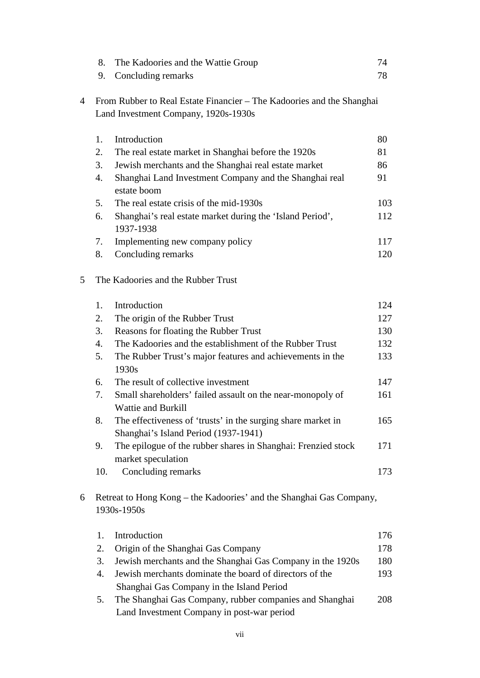|                | 8.                                                                  | The Kadoories and the Wattie Group                                                                    | 74  |  |  |  |  |
|----------------|---------------------------------------------------------------------|-------------------------------------------------------------------------------------------------------|-----|--|--|--|--|
|                | 9.                                                                  | Concluding remarks                                                                                    | 78  |  |  |  |  |
|                |                                                                     |                                                                                                       |     |  |  |  |  |
| $\overline{4}$ |                                                                     | From Rubber to Real Estate Financier – The Kadoories and the Shanghai                                 |     |  |  |  |  |
|                |                                                                     | Land Investment Company, 1920s-1930s                                                                  |     |  |  |  |  |
|                | 1.                                                                  | Introduction                                                                                          | 80  |  |  |  |  |
|                | 2.                                                                  | The real estate market in Shanghai before the 1920s                                                   | 81  |  |  |  |  |
|                | 3.                                                                  | Jewish merchants and the Shanghai real estate market                                                  | 86  |  |  |  |  |
|                | 4.                                                                  | Shanghai Land Investment Company and the Shanghai real<br>estate boom                                 | 91  |  |  |  |  |
|                | 5.                                                                  | The real estate crisis of the mid-1930s                                                               | 103 |  |  |  |  |
|                | 6.                                                                  | Shanghai's real estate market during the 'Island Period',<br>1937-1938                                | 112 |  |  |  |  |
|                | 7.                                                                  | Implementing new company policy                                                                       | 117 |  |  |  |  |
|                | 8.                                                                  | Concluding remarks                                                                                    | 120 |  |  |  |  |
| 5              |                                                                     | The Kadoories and the Rubber Trust                                                                    |     |  |  |  |  |
|                | 1.                                                                  | Introduction                                                                                          | 124 |  |  |  |  |
|                | 2.                                                                  | The origin of the Rubber Trust                                                                        | 127 |  |  |  |  |
|                | 3.                                                                  | Reasons for floating the Rubber Trust                                                                 | 130 |  |  |  |  |
|                | 4.                                                                  | The Kadoories and the establishment of the Rubber Trust                                               | 132 |  |  |  |  |
|                | 5.                                                                  | The Rubber Trust's major features and achievements in the<br>1930s                                    | 133 |  |  |  |  |
|                | 6.                                                                  | The result of collective investment                                                                   | 147 |  |  |  |  |
|                | 7.                                                                  | Small shareholders' failed assault on the near-monopoly of<br><b>Wattie and Burkill</b>               | 161 |  |  |  |  |
|                | 8.                                                                  | The effectiveness of 'trusts' in the surging share market in<br>Shanghai's Island Period (1937-1941)  | 165 |  |  |  |  |
|                | 9.                                                                  | The epilogue of the rubber shares in Shanghai: Frenzied stock<br>market speculation                   | 171 |  |  |  |  |
|                | 10.                                                                 | Concluding remarks                                                                                    | 173 |  |  |  |  |
| 6              | Retreat to Hong Kong – the Kadoories' and the Shanghai Gas Company, |                                                                                                       |     |  |  |  |  |
|                | 1930s-1950s                                                         |                                                                                                       |     |  |  |  |  |
|                | 1.                                                                  | Introduction                                                                                          | 176 |  |  |  |  |
|                | 2.                                                                  | Origin of the Shanghai Gas Company                                                                    | 178 |  |  |  |  |
|                | 3.                                                                  | Jewish merchants and the Shanghai Gas Company in the 1920s                                            | 180 |  |  |  |  |
|                | 4.                                                                  | Jewish merchants dominate the board of directors of the                                               | 193 |  |  |  |  |
|                |                                                                     | Shanghai Gas Company in the Island Period                                                             |     |  |  |  |  |
|                | 5.                                                                  | The Shanghai Gas Company, rubber companies and Shanghai<br>Land Investment Company in post-war period | 208 |  |  |  |  |